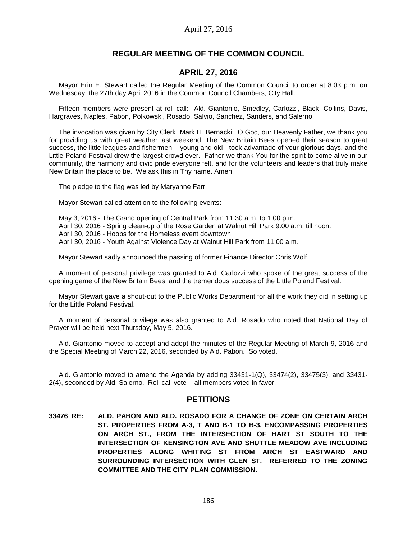# **REGULAR MEETING OF THE COMMON COUNCIL**

# **APRIL 27, 2016**

Mayor Erin E. Stewart called the Regular Meeting of the Common Council to order at 8:03 p.m. on Wednesday, the 27th day April 2016 in the Common Council Chambers, City Hall.

Fifteen members were present at roll call: Ald. Giantonio, Smedley, Carlozzi, Black, Collins, Davis, Hargraves, Naples, Pabon, Polkowski, Rosado, Salvio, Sanchez, Sanders, and Salerno.

The invocation was given by City Clerk, Mark H. Bernacki: O God, our Heavenly Father, we thank you for providing us with great weather last weekend. The New Britain Bees opened their season to great success, the little leagues and fishermen – young and old - took advantage of your glorious days, and the Little Poland Festival drew the largest crowd ever. Father we thank You for the spirit to come alive in our community, the harmony and civic pride everyone felt, and for the volunteers and leaders that truly make New Britain the place to be. We ask this in Thy name. Amen.

The pledge to the flag was led by Maryanne Farr.

Mayor Stewart called attention to the following events:

May 3, 2016 - The Grand opening of Central Park from 11:30 a.m. to 1:00 p.m. April 30, 2016 - Spring clean-up of the Rose Garden at Walnut Hill Park 9:00 a.m. till noon. April 30, 2016 - Hoops for the Homeless event downtown April 30, 2016 - Youth Against Violence Day at Walnut Hill Park from 11:00 a.m.

Mayor Stewart sadly announced the passing of former Finance Director Chris Wolf.

A moment of personal privilege was granted to Ald. Carlozzi who spoke of the great success of the opening game of the New Britain Bees, and the tremendous success of the Little Poland Festival.

Mayor Stewart gave a shout-out to the Public Works Department for all the work they did in setting up for the Little Poland Festival.

A moment of personal privilege was also granted to Ald. Rosado who noted that National Day of Prayer will be held next Thursday, May 5, 2016.

Ald. Giantonio moved to accept and adopt the minutes of the Regular Meeting of March 9, 2016 and the Special Meeting of March 22, 2016, seconded by Ald. Pabon. So voted.

Ald. Giantonio moved to amend the Agenda by adding  $33431-1(Q)$ ,  $33474(2)$ ,  $33475(3)$ , and  $33431-$ 2(4), seconded by Ald. Salerno. Roll call vote – all members voted in favor.

### **PETITIONS**

**33476 RE: ALD. PABON AND ALD. ROSADO FOR A CHANGE OF ZONE ON CERTAIN ARCH ST. PROPERTIES FROM A-3, T AND B-1 TO B-3, ENCOMPASSING PROPERTIES ON ARCH ST., FROM THE INTERSECTION OF HART ST SOUTH TO THE INTERSECTION OF KENSINGTON AVE AND SHUTTLE MEADOW AVE INCLUDING PROPERTIES ALONG WHITING ST FROM ARCH ST EASTWARD AND SURROUNDING INTERSECTION WITH GLEN ST. REFERRED TO THE ZONING COMMITTEE AND THE CITY PLAN COMMISSION.**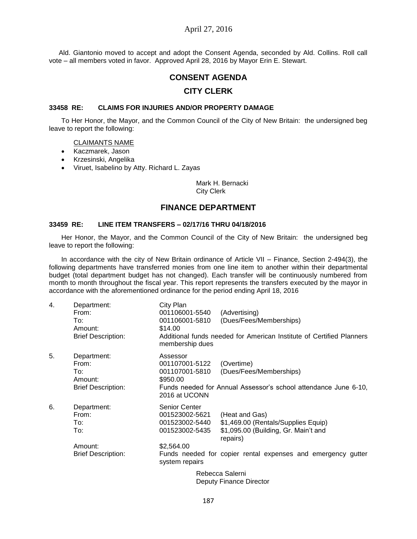# April 27, 2016

Ald. Giantonio moved to accept and adopt the Consent Agenda, seconded by Ald. Collins. Roll call vote – all members voted in favor. Approved April 28, 2016 by Mayor Erin E. Stewart.

# **CONSENT AGENDA**

# **CITY CLERK**

#### **33458 RE: CLAIMS FOR INJURIES AND/OR PROPERTY DAMAGE**

To Her Honor, the Mayor, and the Common Council of the City of New Britain: the undersigned beg leave to report the following:

#### CLAIMANTS NAME

- Kaczmarek, Jason
- Krzesinski, Angelika
- Viruet, Isabelino by Atty. Richard L. Zayas

Mark H. Bernacki City Clerk

# **FINANCE DEPARTMENT**

### **33459 RE: LINE ITEM TRANSFERS – 02/17/16 THRU 04/18/2016**

Her Honor, the Mayor, and the Common Council of the City of New Britain: the undersigned beg leave to report the following:

In accordance with the city of New Britain ordinance of Article VII – Finance, Section 2-494(3), the following departments have transferred monies from one line item to another within their departmental budget (total department budget has not changed). Each transfer will be continuously numbered from month to month throughout the fiscal year. This report represents the transfers executed by the mayor in accordance with the aforementioned ordinance for the period ending April 18, 2016

| 4. | Department:<br>From:                 | City Plan<br>001106001-5540                                         | (Advertising)                                                                                             |
|----|--------------------------------------|---------------------------------------------------------------------|-----------------------------------------------------------------------------------------------------------|
|    | To:<br>Amount:                       | 001106001-5810<br>\$14.00                                           | (Dues/Fees/Memberships)                                                                                   |
|    | <b>Brief Description:</b>            | membership dues                                                     | Additional funds needed for American Institute of Certified Planners                                      |
| 5. | Department:<br>From:<br>To:          | Assessor<br>001107001-5122<br>001107001-5810                        | (Overtime)<br>(Dues/Fees/Memberships)                                                                     |
|    | Amount:<br><b>Brief Description:</b> | \$950.00<br>2016 at UCONN                                           | Funds needed for Annual Assessor's school attendance June 6-10,                                           |
| 6. | Department:<br>From:<br>To:<br>To:   | Senior Center<br>001523002-5621<br>001523002-5440<br>001523002-5435 | (Heat and Gas)<br>\$1,469.00 (Rentals/Supplies Equip)<br>\$1,095.00 (Building, Gr. Main't and<br>repairs) |
|    | Amount:<br><b>Brief Description:</b> | \$2,564.00<br>system repairs                                        | Funds needed for copier rental expenses and emergency gutter                                              |
|    |                                      |                                                                     | Rebecca Salerni                                                                                           |

Deputy Finance Director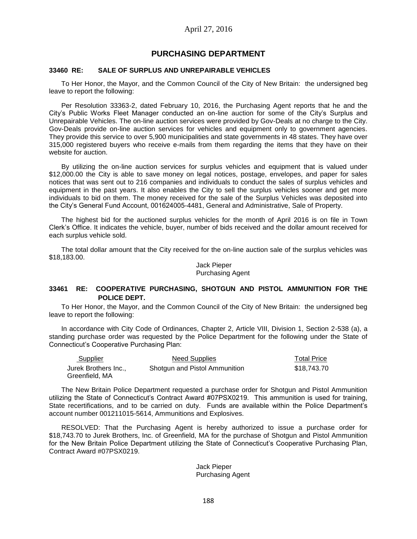# **PURCHASING DEPARTMENT**

### **33460 RE: SALE OF SURPLUS AND UNREPAIRABLE VEHICLES**

To Her Honor, the Mayor, and the Common Council of the City of New Britain: the undersigned beg leave to report the following:

Per Resolution 33363-2, dated February 10, 2016, the Purchasing Agent reports that he and the City's Public Works Fleet Manager conducted an on-line auction for some of the City's Surplus and Unrepairable Vehicles. The on-line auction services were provided by Gov-Deals at no charge to the City. Gov-Deals provide on-line auction services for vehicles and equipment only to government agencies. They provide this service to over 5,900 municipalities and state governments in 48 states. They have over 315,000 registered buyers who receive e-mails from them regarding the items that they have on their website for auction.

By utilizing the on-line auction services for surplus vehicles and equipment that is valued under \$12,000.00 the City is able to save money on legal notices, postage, envelopes, and paper for sales notices that was sent out to 216 companies and individuals to conduct the sales of surplus vehicles and equipment in the past years. It also enables the City to sell the surplus vehicles sooner and get more individuals to bid on them. The money received for the sale of the Surplus Vehicles was deposited into the City's General Fund Account, 001624005-4481, General and Administrative, Sale of Property.

The highest bid for the auctioned surplus vehicles for the month of April 2016 is on file in Town Clerk's Office. It indicates the vehicle, buyer, number of bids received and the dollar amount received for each surplus vehicle sold.

The total dollar amount that the City received for the on-line auction sale of the surplus vehicles was \$18,183.00.

> Jack Pieper Purchasing Agent

### **33461 RE: COOPERATIVE PURCHASING, SHOTGUN AND PISTOL AMMUNITION FOR THE POLICE DEPT.**

To Her Honor, the Mayor, and the Common Council of the City of New Britain: the undersigned beg leave to report the following:

In accordance with City Code of Ordinances, Chapter 2, Article VIII, Division 1, Section 2-538 (a), a standing purchase order was requested by the Police Department for the following under the State of Connecticut's Cooperative Purchasing Plan:

| <b>Supplier</b>      | Need Supplies                 | <b>Total Price</b> |
|----------------------|-------------------------------|--------------------|
| Jurek Brothers Inc., | Shotgun and Pistol Ammunition | \$18,743.70        |
| Greenfield, MA       |                               |                    |

The New Britain Police Department requested a purchase order for Shotgun and Pistol Ammunition utilizing the State of Connecticut's Contract Award #07PSX0219. This ammunition is used for training, State recertifications, and to be carried on duty. Funds are available within the Police Department's account number 001211015-5614, Ammunitions and Explosives.

RESOLVED: That the Purchasing Agent is hereby authorized to issue a purchase order for \$18,743.70 to Jurek Brothers, Inc. of Greenfield, MA for the purchase of Shotgun and Pistol Ammunition for the New Britain Police Department utilizing the State of Connecticut's Cooperative Purchasing Plan, Contract Award #07PSX0219.

#### Jack Pieper Purchasing Agent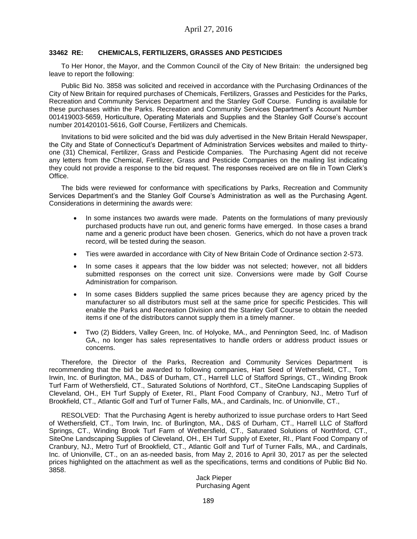### **33462 RE: CHEMICALS, FERTILIZERS, GRASSES AND PESTICIDES**

To Her Honor, the Mayor, and the Common Council of the City of New Britain: the undersigned beg leave to report the following:

Public Bid No. 3858 was solicited and received in accordance with the Purchasing Ordinances of the City of New Britain for required purchases of Chemicals, Fertilizers, Grasses and Pesticides for the Parks, Recreation and Community Services Department and the Stanley Golf Course. Funding is available for these purchases within the Parks. Recreation and Community Services Department's Account Number 001419003-5659, Horticulture, Operating Materials and Supplies and the Stanley Golf Course's account number 201420101-5616, Golf Course, Fertilizers and Chemicals.

Invitations to bid were solicited and the bid was duly advertised in the New Britain Herald Newspaper, the City and State of Connecticut's Department of Administration Services websites and mailed to thirtyone (31) Chemical, Fertilizer, Grass and Pesticide Companies. The Purchasing Agent did not receive any letters from the Chemical, Fertilizer, Grass and Pesticide Companies on the mailing list indicating they could not provide a response to the bid request. The responses received are on file in Town Clerk's Office.

The bids were reviewed for conformance with specifications by Parks, Recreation and Community Services Department's and the Stanley Golf Course's Administration as well as the Purchasing Agent. Considerations in determining the awards were:

- In some instances two awards were made. Patents on the formulations of many previously purchased products have run out, and generic forms have emerged. In those cases a brand name and a generic product have been chosen. Generics, which do not have a proven track record, will be tested during the season.
- Ties were awarded in accordance with City of New Britain Code of Ordinance section 2-573.
- In some cases it appears that the low bidder was not selected; however, not all bidders submitted responses on the correct unit size. Conversions were made by Golf Course Administration for comparison.
- In some cases Bidders supplied the same prices because they are agency priced by the manufacturer so all distributors must sell at the same price for specific Pesticides. This will enable the Parks and Recreation Division and the Stanley Golf Course to obtain the needed items if one of the distributors cannot supply them in a timely manner.
- Two (2) Bidders, Valley Green, Inc. of Holyoke, MA., and Pennington Seed, Inc. of Madison GA., no longer has sales representatives to handle orders or address product issues or concerns.

Therefore, the Director of the Parks, Recreation and Community Services Department is recommending that the bid be awarded to following companies, Hart Seed of Wethersfield, CT., Tom Irwin, Inc. of Burlington, MA., D&S of Durham, CT., Harrell LLC of Stafford Springs, CT., Winding Brook Turf Farm of Wethersfield, CT., Saturated Solutions of Northford, CT., SiteOne Landscaping Supplies of Cleveland, OH., EH Turf Supply of Exeter, RI., Plant Food Company of Cranbury, NJ., Metro Turf of Brookfield, CT., Atlantic Golf and Turf of Turner Falls, MA., and Cardinals, Inc. of Unionville, CT.,

RESOLVED: That the Purchasing Agent is hereby authorized to issue purchase orders to Hart Seed of Wethersfield, CT., Tom Irwin, Inc. of Burlington, MA., D&S of Durham, CT., Harrell LLC of Stafford Springs, CT., Winding Brook Turf Farm of Wethersfield, CT., Saturated Solutions of Northford, CT., SiteOne Landscaping Supplies of Cleveland, OH., EH Turf Supply of Exeter, RI., Plant Food Company of Cranbury, NJ., Metro Turf of Brookfield, CT., Atlantic Golf and Turf of Turner Falls, MA., and Cardinals, Inc. of Unionville, CT., on an as-needed basis, from May 2, 2016 to April 30, 2017 as per the selected prices highlighted on the attachment as well as the specifications, terms and conditions of Public Bid No. 3858.

> Jack Pieper Purchasing Agent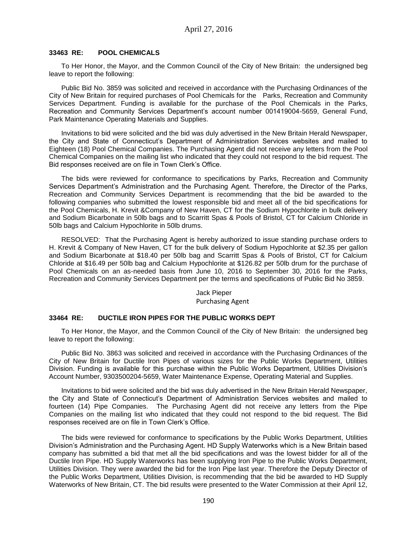### **33463 RE: POOL CHEMICALS**

To Her Honor, the Mayor, and the Common Council of the City of New Britain: the undersigned beg leave to report the following:

Public Bid No. 3859 was solicited and received in accordance with the Purchasing Ordinances of the City of New Britain for required purchases of Pool Chemicals for the Parks, Recreation and Community Services Department. Funding is available for the purchase of the Pool Chemicals in the Parks, Recreation and Community Services Department's account number 001419004-5659, General Fund, Park Maintenance Operating Materials and Supplies.

Invitations to bid were solicited and the bid was duly advertised in the New Britain Herald Newspaper, the City and State of Connecticut's Department of Administration Services websites and mailed to Eighteen (18) Pool Chemical Companies. The Purchasing Agent did not receive any letters from the Pool Chemical Companies on the mailing list who indicated that they could not respond to the bid request. The Bid responses received are on file in Town Clerk's Office.

The bids were reviewed for conformance to specifications by Parks, Recreation and Community Services Department's Administration and the Purchasing Agent. Therefore, the Director of the Parks, Recreation and Community Services Department is recommending that the bid be awarded to the following companies who submitted the lowest responsible bid and meet all of the bid specifications for the Pool Chemicals, H. Krevit &Company of New Haven, CT for the Sodium Hypochlorite in bulk delivery and Sodium Bicarbonate in 50lb bags and to Scarritt Spas & Pools of Bristol, CT for Calcium Chloride in 50lb bags and Calcium Hypochlorite in 50lb drums.

RESOLVED: That the Purchasing Agent is hereby authorized to issue standing purchase orders to H. Krevit & Company of New Haven, CT for the bulk delivery of Sodium Hypochlorite at \$2.35 per gallon and Sodium Bicarbonate at \$18.40 per 50lb bag and Scarritt Spas & Pools of Bristol, CT for Calcium Chloride at \$16.49 per 50lb bag and Calcium Hypochlorite at \$126.82 per 50lb drum for the purchase of Pool Chemicals on an as-needed basis from June 10, 2016 to September 30, 2016 for the Parks, Recreation and Community Services Department per the terms and specifications of Public Bid No 3859.

> Jack Pieper Purchasing Agent

### **33464 RE: DUCTILE IRON PIPES FOR THE PUBLIC WORKS DEPT**

To Her Honor, the Mayor, and the Common Council of the City of New Britain: the undersigned beg leave to report the following:

Public Bid No. 3863 was solicited and received in accordance with the Purchasing Ordinances of the City of New Britain for Ductile Iron Pipes of various sizes for the Public Works Department, Utilities Division. Funding is available for this purchase within the Public Works Department, Utilities Division's Account Number, 9303500204-5659, Water Maintenance Expense, Operating Material and Supplies.

Invitations to bid were solicited and the bid was duly advertised in the New Britain Herald Newspaper, the City and State of Connecticut's Department of Administration Services websites and mailed to fourteen (14) Pipe Companies. The Purchasing Agent did not receive any letters from the Pipe Companies on the mailing list who indicated that they could not respond to the bid request. The Bid responses received are on file in Town Clerk's Office.

The bids were reviewed for conformance to specifications by the Public Works Department, Utilities Division's Administration and the Purchasing Agent. HD Supply Waterworks which is a New Britain based company has submitted a bid that met all the bid specifications and was the lowest bidder for all of the Ductile Iron Pipe. HD Supply Waterworks has been supplying Iron Pipe to the Public Works Department, Utilities Division. They were awarded the bid for the Iron Pipe last year. Therefore the Deputy Director of the Public Works Department, Utilities Division, is recommending that the bid be awarded to HD Supply Waterworks of New Britain, CT. The bid results were presented to the Water Commission at their April 12,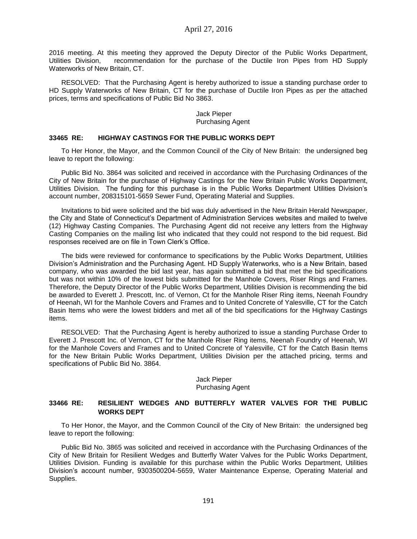2016 meeting. At this meeting they approved the Deputy Director of the Public Works Department, Utilities Division, recommendation for the purchase of the Ductile Iron Pipes from HD Supply Waterworks of New Britain, CT.

RESOLVED: That the Purchasing Agent is hereby authorized to issue a standing purchase order to HD Supply Waterworks of New Britain, CT for the purchase of Ductile Iron Pipes as per the attached prices, terms and specifications of Public Bid No 3863.

> Jack Pieper Purchasing Agent

#### **33465 RE: HIGHWAY CASTINGS FOR THE PUBLIC WORKS DEPT**

To Her Honor, the Mayor, and the Common Council of the City of New Britain: the undersigned beg leave to report the following:

Public Bid No. 3864 was solicited and received in accordance with the Purchasing Ordinances of the City of New Britain for the purchase of Highway Castings for the New Britain Public Works Department, Utilities Division. The funding for this purchase is in the Public Works Department Utilities Division's account number, 208315101-5659 Sewer Fund, Operating Material and Supplies.

Invitations to bid were solicited and the bid was duly advertised in the New Britain Herald Newspaper, the City and State of Connecticut's Department of Administration Services websites and mailed to twelve (12) Highway Casting Companies. The Purchasing Agent did not receive any letters from the Highway Casting Companies on the mailing list who indicated that they could not respond to the bid request. Bid responses received are on file in Town Clerk's Office.

The bids were reviewed for conformance to specifications by the Public Works Department, Utilities Division's Administration and the Purchasing Agent. HD Supply Waterworks, who is a New Britain, based company, who was awarded the bid last year, has again submitted a bid that met the bid specifications but was not within 10% of the lowest bids submitted for the Manhole Covers, Riser Rings and Frames. Therefore, the Deputy Director of the Public Works Department, Utilities Division is recommending the bid be awarded to Everett J. Prescott, Inc. of Vernon, Ct for the Manhole Riser Ring items, Neenah Foundry of Heenah, WI for the Manhole Covers and Frames and to United Concrete of Yalesville, CT for the Catch Basin Items who were the lowest bidders and met all of the bid specifications for the Highway Castings items.

RESOLVED: That the Purchasing Agent is hereby authorized to issue a standing Purchase Order to Everett J. Prescott Inc. of Vernon, CT for the Manhole Riser Ring items, Neenah Foundry of Heenah, WI for the Manhole Covers and Frames and to United Concrete of Yalesville, CT for the Catch Basin Items for the New Britain Public Works Department, Utilities Division per the attached pricing, terms and specifications of Public Bid No. 3864.

#### Jack Pieper Purchasing Agent

### **33466 RE: RESILIENT WEDGES AND BUTTERFLY WATER VALVES FOR THE PUBLIC WORKS DEPT**

To Her Honor, the Mayor, and the Common Council of the City of New Britain: the undersigned beg leave to report the following:

Public Bid No. 3865 was solicited and received in accordance with the Purchasing Ordinances of the City of New Britain for Resilient Wedges and Butterfly Water Valves for the Public Works Department, Utilities Division. Funding is available for this purchase within the Public Works Department, Utilities Division's account number, 9303500204-5659, Water Maintenance Expense, Operating Material and Supplies.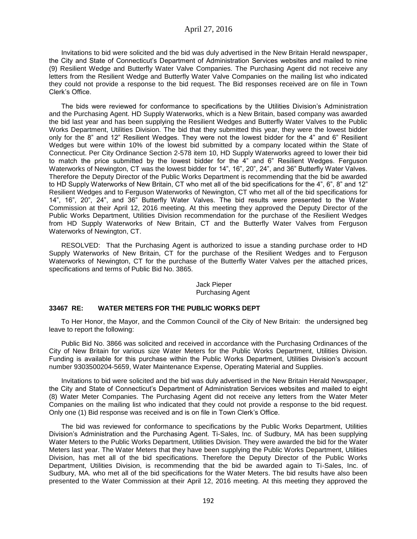Invitations to bid were solicited and the bid was duly advertised in the New Britain Herald newspaper, the City and State of Connecticut's Department of Administration Services websites and mailed to nine (9) Resilient Wedge and Butterfly Water Valve Companies. The Purchasing Agent did not receive any letters from the Resilient Wedge and Butterfly Water Valve Companies on the mailing list who indicated they could not provide a response to the bid request. The Bid responses received are on file in Town Clerk's Office.

The bids were reviewed for conformance to specifications by the Utilities Division's Administration and the Purchasing Agent. HD Supply Waterworks, which is a New Britain, based company was awarded the bid last year and has been supplying the Resilient Wedges and Butterfly Water Valves to the Public Works Department, Utilities Division. The bid that they submitted this year, they were the lowest bidder only for the 8" and 12" Resilient Wedges. They were not the lowest bidder for the 4" and 6" Resilient Wedges but were within 10% of the lowest bid submitted by a company located within the State of Connecticut. Per City Ordinance Section 2-578 item 10, HD Supply Waterworks agreed to lower their bid to match the price submitted by the lowest bidder for the 4" and 6" Resilient Wedges. Ferguson Waterworks of Newington, CT was the lowest bidder for 14", 16", 20", 24", and 36" Butterfly Water Valves. Therefore the Deputy Director of the Public Works Department is recommending that the bid be awarded to HD Supply Waterworks of New Britain, CT who met all of the bid specifications for the 4", 6", 8" and 12" Resilient Wedges and to Ferguson Waterworks of Newington, CT who met all of the bid specifications for 14", 16", 20", 24", and 36" Butterfly Water Valves. The bid results were presented to the Water Commission at their April 12, 2016 meeting. At this meeting they approved the Deputy Director of the Public Works Department, Utilities Division recommendation for the purchase of the Resilient Wedges from HD Supply Waterworks of New Britain, CT and the Butterfly Water Valves from Ferguson Waterworks of Newington, CT.

RESOLVED: That the Purchasing Agent is authorized to issue a standing purchase order to HD Supply Waterworks of New Britain, CT for the purchase of the Resilient Wedges and to Ferguson Waterworks of Newington, CT for the purchase of the Butterfly Water Valves per the attached prices, specifications and terms of Public Bid No. 3865.

### Jack Pieper Purchasing Agent

## **33467 RE: WATER METERS FOR THE PUBLIC WORKS DEPT**

To Her Honor, the Mayor, and the Common Council of the City of New Britain: the undersigned beg leave to report the following:

Public Bid No. 3866 was solicited and received in accordance with the Purchasing Ordinances of the City of New Britain for various size Water Meters for the Public Works Department, Utilities Division. Funding is available for this purchase within the Public Works Department, Utilities Division's account number 9303500204-5659, Water Maintenance Expense, Operating Material and Supplies.

Invitations to bid were solicited and the bid was duly advertised in the New Britain Herald Newspaper, the City and State of Connecticut's Department of Administration Services websites and mailed to eight (8) Water Meter Companies. The Purchasing Agent did not receive any letters from the Water Meter Companies on the mailing list who indicated that they could not provide a response to the bid request. Only one (1) Bid response was received and is on file in Town Clerk's Office.

The bid was reviewed for conformance to specifications by the Public Works Department, Utilities Division's Administration and the Purchasing Agent. Ti-Sales, Inc. of Sudbury, MA has been supplying Water Meters to the Public Works Department, Utilities Division. They were awarded the bid for the Water Meters last year. The Water Meters that they have been supplying the Public Works Department, Utilities Division, has met all of the bid specifications. Therefore the Deputy Director of the Public Works Department, Utilities Division, is recommending that the bid be awarded again to Ti-Sales, Inc. of Sudbury, MA. who met all of the bid specifications for the Water Meters. The bid results have also been presented to the Water Commission at their April 12, 2016 meeting. At this meeting they approved the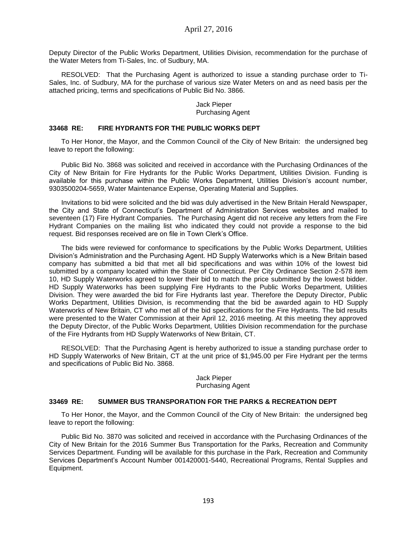Deputy Director of the Public Works Department, Utilities Division, recommendation for the purchase of the Water Meters from Ti-Sales, Inc. of Sudbury, MA.

RESOLVED: That the Purchasing Agent is authorized to issue a standing purchase order to Ti-Sales, Inc. of Sudbury, MA for the purchase of various size Water Meters on and as need basis per the attached pricing, terms and specifications of Public Bid No. 3866.

## Jack Pieper Purchasing Agent

## **33468 RE: FIRE HYDRANTS FOR THE PUBLIC WORKS DEPT**

To Her Honor, the Mayor, and the Common Council of the City of New Britain: the undersigned beg leave to report the following:

Public Bid No. 3868 was solicited and received in accordance with the Purchasing Ordinances of the City of New Britain for Fire Hydrants for the Public Works Department, Utilities Division. Funding is available for this purchase within the Public Works Department, Utilities Division's account number, 9303500204-5659, Water Maintenance Expense, Operating Material and Supplies.

Invitations to bid were solicited and the bid was duly advertised in the New Britain Herald Newspaper, the City and State of Connecticut's Department of Administration Services websites and mailed to seventeen (17) Fire Hydrant Companies. The Purchasing Agent did not receive any letters from the Fire Hydrant Companies on the mailing list who indicated they could not provide a response to the bid request. Bid responses received are on file in Town Clerk's Office.

The bids were reviewed for conformance to specifications by the Public Works Department, Utilities Division's Administration and the Purchasing Agent. HD Supply Waterworks which is a New Britain based company has submitted a bid that met all bid specifications and was within 10% of the lowest bid submitted by a company located within the State of Connecticut. Per City Ordinance Section 2-578 item 10, HD Supply Waterworks agreed to lower their bid to match the price submitted by the lowest bidder. HD Supply Waterworks has been supplying Fire Hydrants to the Public Works Department, Utilities Division. They were awarded the bid for Fire Hydrants last year. Therefore the Deputy Director, Public Works Department, Utilities Division, is recommending that the bid be awarded again to HD Supply Waterworks of New Britain, CT who met all of the bid specifications for the Fire Hydrants. The bid results were presented to the Water Commission at their April 12, 2016 meeting. At this meeting they approved the Deputy Director, of the Public Works Department, Utilities Division recommendation for the purchase of the Fire Hydrants from HD Supply Waterworks of New Britain, CT.

RESOLVED: That the Purchasing Agent is hereby authorized to issue a standing purchase order to HD Supply Waterworks of New Britain, CT at the unit price of \$1,945.00 per Fire Hydrant per the terms and specifications of Public Bid No. 3868.

#### Jack Pieper Purchasing Agent

### **33469 RE: SUMMER BUS TRANSPORATION FOR THE PARKS & RECREATION DEPT**

To Her Honor, the Mayor, and the Common Council of the City of New Britain: the undersigned beg leave to report the following:

Public Bid No. 3870 was solicited and received in accordance with the Purchasing Ordinances of the City of New Britain for the 2016 Summer Bus Transportation for the Parks, Recreation and Community Services Department. Funding will be available for this purchase in the Park, Recreation and Community Services Department's Account Number 001420001-5440, Recreational Programs, Rental Supplies and Equipment.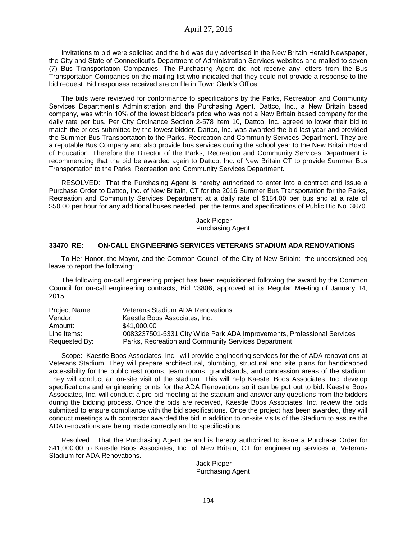Invitations to bid were solicited and the bid was duly advertised in the New Britain Herald Newspaper, the City and State of Connecticut's Department of Administration Services websites and mailed to seven (7) Bus Transportation Companies. The Purchasing Agent did not receive any letters from the Bus Transportation Companies on the mailing list who indicated that they could not provide a response to the bid request. Bid responses received are on file in Town Clerk's Office.

The bids were reviewed for conformance to specifications by the Parks, Recreation and Community Services Department's Administration and the Purchasing Agent. Dattco, Inc., a New Britain based company, was within 10% of the lowest bidder's price who was not a New Britain based company for the daily rate per bus. Per City Ordinance Section 2-578 item 10, Dattco, Inc. agreed to lower their bid to match the prices submitted by the lowest bidder. Dattco, Inc. was awarded the bid last year and provided the Summer Bus Transportation to the Parks, Recreation and Community Services Department. They are a reputable Bus Company and also provide bus services during the school year to the New Britain Board of Education. Therefore the Director of the Parks, Recreation and Community Services Department is recommending that the bid be awarded again to Dattco, Inc. of New Britain CT to provide Summer Bus Transportation to the Parks, Recreation and Community Services Department.

RESOLVED: That the Purchasing Agent is hereby authorized to enter into a contract and issue a Purchase Order to Dattco, Inc. of New Britain, CT for the 2016 Summer Bus Transportation for the Parks, Recreation and Community Services Department at a daily rate of \$184.00 per bus and at a rate of \$50.00 per hour for any additional buses needed, per the terms and specifications of Public Bid No. 3870.

> Jack Pieper Purchasing Agent

## **33470 RE: ON-CALL ENGINEERING SERVICES VETERANS STADIUM ADA RENOVATIONS**

To Her Honor, the Mayor, and the Common Council of the City of New Britain: the undersigned beg leave to report the following:

The following on-call engineering project has been requisitioned following the award by the Common Council for on-call engineering contracts, Bid #3806, approved at its Regular Meeting of January 14, 2015.

| Project Name: | <b>Veterans Stadium ADA Renovations</b>                                |
|---------------|------------------------------------------------------------------------|
| Vendor:       | Kaestle Boos Associates, Inc.                                          |
| Amount:       | \$41.000.00                                                            |
| Line Items:   | 0083237501-5331 City Wide Park ADA Improvements, Professional Services |
| Requested By: | Parks, Recreation and Community Services Department                    |

Scope: Kaestle Boos Associates, Inc. will provide engineering services for the of ADA renovations at Veterans Stadium. They will prepare architectural, plumbing, structural and site plans for handicapped accessibility for the public rest rooms, team rooms, grandstands, and concession areas of the stadium. They will conduct an on-site visit of the stadium. This will help Kaestel Boos Associates, Inc. develop specifications and engineering prints for the ADA Renovations so it can be put out to bid. Kaestle Boos Associates, Inc. will conduct a pre-bid meeting at the stadium and answer any questions from the bidders during the bidding process. Once the bids are received, Kaestle Boos Associates, Inc. review the bids submitted to ensure compliance with the bid specifications. Once the project has been awarded, they will conduct meetings with contractor awarded the bid in addition to on-site visits of the Stadium to assure the ADA renovations are being made correctly and to specifications.

Resolved: That the Purchasing Agent be and is hereby authorized to issue a Purchase Order for \$41,000.00 to Kaestle Boos Associates, Inc. of New Britain, CT for engineering services at Veterans Stadium for ADA Renovations.

> Jack Pieper Purchasing Agent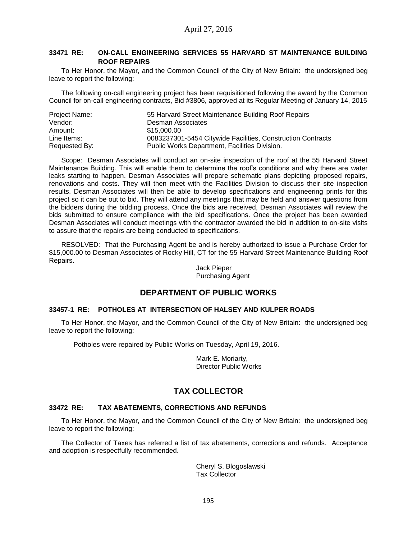# **33471 RE: ON-CALL ENGINEERING SERVICES 55 HARVARD ST MAINTENANCE BUILDING ROOF REPAIRS**

To Her Honor, the Mayor, and the Common Council of the City of New Britain: the undersigned beg leave to report the following:

The following on-call engineering project has been requisitioned following the award by the Common Council for on-call engineering contracts, Bid #3806, approved at its Regular Meeting of January 14, 2015

| Project Name: | 55 Harvard Street Maintenance Building Roof Repairs         |
|---------------|-------------------------------------------------------------|
| Vendor:       | Desman Associates                                           |
| Amount:       | \$15,000.00                                                 |
| Line Items:   | 0083237301-5454 Citywide Facilities, Construction Contracts |
| Requested By: | Public Works Department, Facilities Division.               |

Scope: Desman Associates will conduct an on-site inspection of the roof at the 55 Harvard Street Maintenance Building. This will enable them to determine the roof's conditions and why there are water leaks starting to happen. Desman Associates will prepare schematic plans depicting proposed repairs, renovations and costs. They will then meet with the Facilities Division to discuss their site inspection results. Desman Associates will then be able to develop specifications and engineering prints for this project so it can be out to bid. They will attend any meetings that may be held and answer questions from the bidders during the bidding process. Once the bids are received, Desman Associates will review the bids submitted to ensure compliance with the bid specifications. Once the project has been awarded Desman Associates will conduct meetings with the contractor awarded the bid in addition to on-site visits to assure that the repairs are being conducted to specifications.

RESOLVED: That the Purchasing Agent be and is hereby authorized to issue a Purchase Order for \$15,000.00 to Desman Associates of Rocky Hill, CT for the 55 Harvard Street Maintenance Building Roof Repairs.

#### Jack Pieper Purchasing Agent

# **DEPARTMENT OF PUBLIC WORKS**

### **33457-1 RE: POTHOLES AT INTERSECTION OF HALSEY AND KULPER ROADS**

To Her Honor, the Mayor, and the Common Council of the City of New Britain: the undersigned beg leave to report the following:

Potholes were repaired by Public Works on Tuesday, April 19, 2016.

Mark E. Moriarty, Director Public Works

# **TAX COLLECTOR**

### **33472 RE: TAX ABATEMENTS, CORRECTIONS AND REFUNDS**

To Her Honor, the Mayor, and the Common Council of the City of New Britain: the undersigned beg leave to report the following:

The Collector of Taxes has referred a list of tax abatements, corrections and refunds. Acceptance and adoption is respectfully recommended.

> Cheryl S. Blogoslawski Tax Collector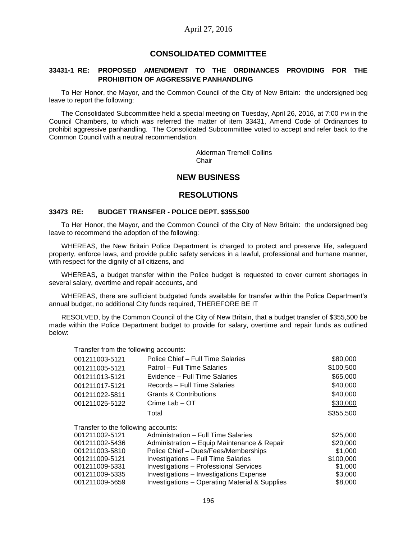# **CONSOLIDATED COMMITTEE**

## **33431-1 RE: PROPOSED AMENDMENT TO THE ORDINANCES PROVIDING FOR THE PROHIBITION OF AGGRESSIVE PANHANDLING**

To Her Honor, the Mayor, and the Common Council of the City of New Britain: the undersigned beg leave to report the following:

The Consolidated Subcommittee held a special meeting on Tuesday, April 26, 2016, at 7:00 PM in the Council Chambers, to which was referred the matter of item 33431, Amend Code of Ordinances to prohibit aggressive panhandling. The Consolidated Subcommittee voted to accept and refer back to the Common Council with a neutral recommendation.

> Alderman Tremell Collins Chair

# **NEW BUSINESS**

# **RESOLUTIONS**

#### **33473 RE: BUDGET TRANSFER - POLICE DEPT. \$355,500**

To Her Honor, the Mayor, and the Common Council of the City of New Britain: the undersigned beg leave to recommend the adoption of the following:

WHEREAS, the New Britain Police Department is charged to protect and preserve life, safeguard property, enforce laws, and provide public safety services in a lawful, professional and humane manner, with respect for the dignity of all citizens, and

WHEREAS, a budget transfer within the Police budget is requested to cover current shortages in several salary, overtime and repair accounts, and

WHEREAS, there are sufficient budgeted funds available for transfer within the Police Department's annual budget, no additional City funds required, THEREFORE BE IT

RESOLVED, by the Common Council of the City of New Britain, that a budget transfer of \$355,500 be made within the Police Department budget to provide for salary, overtime and repair funds as outlined below:

Transfer from the following accounts:

|                               | \$80,000                          |
|-------------------------------|-----------------------------------|
| Patrol - Full Time Salaries   | \$100,500                         |
| Evidence – Full Time Salaries | \$65,000                          |
| Records - Full Time Salaries  | \$40,000                          |
| Grants & Contributions        | \$40,000                          |
| Crime Lab - OT                | \$30,000                          |
| Total                         | \$355,500                         |
|                               | Police Chief - Full Time Salaries |

| Transfer to the following accounts: |                     |
|-------------------------------------|---------------------|
| 001211002-5121                      | Administration – Fr |

| 001211002-5121 | Administration - Full Time Salaries                       | \$25,000  |
|----------------|-----------------------------------------------------------|-----------|
| 001211002-5436 | Administration – Equip Maintenance & Repair               | \$20,000  |
| 001211003-5810 | Police Chief - Dues/Fees/Memberships                      | \$1.000   |
| 001211009-5121 | Investigations - Full Time Salaries                       | \$100,000 |
| 001211009-5331 | <b>Investigations - Professional Services</b>             | \$1,000   |
| 001211009-5335 | Investigations - Investigations Expense                   | \$3,000   |
| 001211009-5659 | <b>Investigations - Operating Material &amp; Supplies</b> | \$8,000   |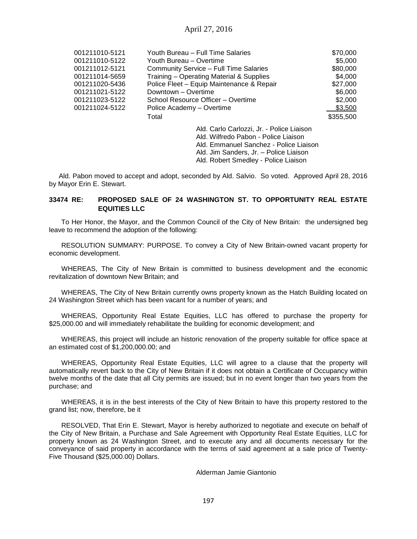| 001211010-5121 | Youth Bureau - Full Time Salaries         | \$70,000  |
|----------------|-------------------------------------------|-----------|
| 001211010-5122 | Youth Bureau - Overtime                   | \$5,000   |
| 001211012-5121 | Community Service - Full Time Salaries    | \$80,000  |
| 001211014-5659 | Training - Operating Material & Supplies  | \$4,000   |
| 001211020-5436 | Police Fleet - Equip Maintenance & Repair | \$27,000  |
| 001211021-5122 | Downtown - Overtime                       | \$6,000   |
| 001211023-5122 | School Resource Officer - Overtime        | \$2,000   |
| 001211024-5122 | Police Academy – Overtime                 | \$3,500   |
|                | Total                                     | \$355,500 |
|                | Ald. Carlo Carlozzi, Jr. - Police Liaison |           |
|                | Ald. Wilfredo Pabon - Police Liaison      |           |
|                | Ald. Emmanuel Sanchez - Police Liaison    |           |
|                | Ald. Jim Sanders, Jr. - Police Liaison    |           |
|                | Ald. Robert Smedley - Police Liaison      |           |
|                |                                           |           |

Ald. Pabon moved to accept and adopt, seconded by Ald. Salvio. So voted. Approved April 28, 2016 by Mayor Erin E. Stewart.

# **33474 RE: PROPOSED SALE OF 24 WASHINGTON ST. TO OPPORTUNITY REAL ESTATE EQUITIES LLC**

To Her Honor, the Mayor, and the Common Council of the City of New Britain: the undersigned beg leave to recommend the adoption of the following:

RESOLUTION SUMMARY: PURPOSE. To convey a City of New Britain-owned vacant property for economic development.

WHEREAS, The City of New Britain is committed to business development and the economic revitalization of downtown New Britain; and

WHEREAS, The City of New Britain currently owns property known as the Hatch Building located on 24 Washington Street which has been vacant for a number of years; and

WHEREAS, Opportunity Real Estate Equities, LLC has offered to purchase the property for \$25,000.00 and will immediately rehabilitate the building for economic development; and

WHEREAS, this project will include an historic renovation of the property suitable for office space at an estimated cost of \$1,200,000.00; and

WHEREAS, Opportunity Real Estate Equities, LLC will agree to a clause that the property will automatically revert back to the City of New Britain if it does not obtain a Certificate of Occupancy within twelve months of the date that all City permits are issued; but in no event longer than two years from the purchase; and

WHEREAS, it is in the best interests of the City of New Britain to have this property restored to the grand list; now, therefore, be it

RESOLVED, That Erin E. Stewart, Mayor is hereby authorized to negotiate and execute on behalf of the City of New Britain, a Purchase and Sale Agreement with Opportunity Real Estate Equities, LLC for property known as 24 Washington Street, and to execute any and all documents necessary for the conveyance of said property in accordance with the terms of said agreement at a sale price of Twenty-Five Thousand (\$25,000.00) Dollars.

Alderman Jamie Giantonio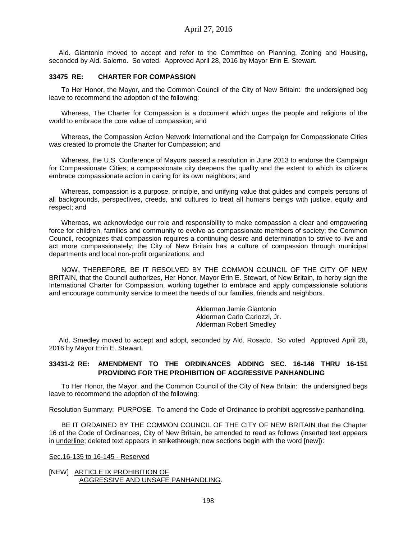Ald. Giantonio moved to accept and refer to the Committee on Planning, Zoning and Housing, seconded by Ald. Salerno. So voted. Approved April 28, 2016 by Mayor Erin E. Stewart.

### **33475 RE: CHARTER FOR COMPASSION**

To Her Honor, the Mayor, and the Common Council of the City of New Britain: the undersigned beg leave to recommend the adoption of the following:

Whereas, The Charter for Compassion is a document which urges the people and religions of the world to embrace the core value of compassion; and

Whereas, the Compassion Action Network International and the Campaign for Compassionate Cities was created to promote the Charter for Compassion; and

Whereas, the U.S. Conference of Mayors passed a resolution in June 2013 to endorse the Campaign for Compassionate Cities; a compassionate city deepens the quality and the extent to which its citizens embrace compassionate action in caring for its own neighbors; and

Whereas, compassion is a purpose, principle, and unifying value that guides and compels persons of all backgrounds, perspectives, creeds, and cultures to treat all humans beings with justice, equity and respect; and

Whereas, we acknowledge our role and responsibility to make compassion a clear and empowering force for children, families and community to evolve as compassionate members of society; the Common Council, recognizes that compassion requires a continuing desire and determination to strive to live and act more compassionately; the City of New Britain has a culture of compassion through municipal departments and local non-profit organizations; and

NOW, THEREFORE, BE IT RESOLVED BY THE COMMON COUNCIL OF THE CITY OF NEW BRITAIN, that the Council authorizes, Her Honor, Mayor Erin E. Stewart, of New Britain, to herby sign the International Charter for Compassion, working together to embrace and apply compassionate solutions and encourage community service to meet the needs of our families, friends and neighbors.

> Alderman Jamie Giantonio Alderman Carlo Carlozzi, Jr. Alderman Robert Smedley

Ald. Smedley moved to accept and adopt, seconded by Ald. Rosado. So voted Approved April 28, 2016 by Mayor Erin E. Stewart.

## **33431-2 RE: AMENDMENT TO THE ORDINANCES ADDING SEC. 16-146 THRU 16-151 PROVIDING FOR THE PROHIBITION OF AGGRESSIVE PANHANDLING**

To Her Honor, the Mayor, and the Common Council of the City of New Britain: the undersigned begs leave to recommend the adoption of the following:

Resolution Summary: PURPOSE. To amend the Code of Ordinance to prohibit aggressive panhandling.

BE IT ORDAINED BY THE COMMON COUNCIL OF THE CITY OF NEW BRITAIN that the Chapter 16 of the Code of Ordinances, City of New Britain, be amended to read as follows (inserted text appears in underline; deleted text appears in strikethrough; new sections begin with the word [new]):

### Sec.16-135 to 16-145 - Reserved

[NEW] ARTICLE IX PROHIBITION OF AGGRESSIVE AND UNSAFE PANHANDLING.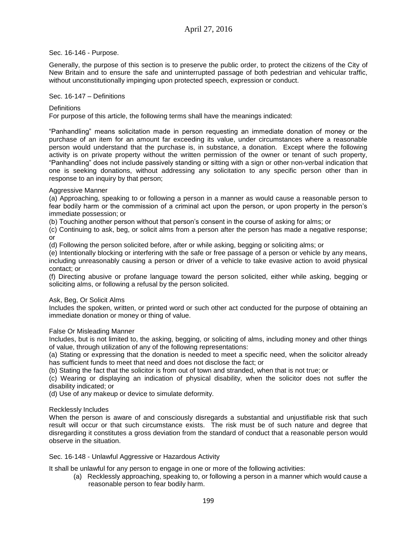## Sec. 16-146 - Purpose.

Generally, the purpose of this section is to preserve the public order, to protect the citizens of the City of New Britain and to ensure the safe and uninterrupted passage of both pedestrian and vehicular traffic, without unconstitutionally impinging upon protected speech, expression or conduct.

## Sec. 16-147 – Definitions

## **Definitions**

For purpose of this article, the following terms shall have the meanings indicated:

"Panhandling" means solicitation made in person requesting an immediate donation of money or the purchase of an item for an amount far exceeding its value, under circumstances where a reasonable person would understand that the purchase is, in substance, a donation. Except where the following activity is on private property without the written permission of the owner or tenant of such property, "Panhandling" does not include passively standing or sitting with a sign or other non-verbal indication that one is seeking donations, without addressing any solicitation to any specific person other than in response to an inquiry by that person;

## Aggressive Manner

(a) Approaching, speaking to or following a person in a manner as would cause a reasonable person to fear bodily harm or the commission of a criminal act upon the person, or upon property in the person's immediate possession; or

(b) Touching another person without that person's consent in the course of asking for alms; or

(c) Continuing to ask, beg, or solicit alms from a person after the person has made a negative response; or

(d) Following the person solicited before, after or while asking, begging or soliciting alms; or

(e) Intentionally blocking or interfering with the safe or free passage of a person or vehicle by any means, including unreasonably causing a person or driver of a vehicle to take evasive action to avoid physical contact; or

(f) Directing abusive or profane language toward the person solicited, either while asking, begging or soliciting alms, or following a refusal by the person solicited.

### Ask, Beg, Or Solicit Alms

Includes the spoken, written, or printed word or such other act conducted for the purpose of obtaining an immediate donation or money or thing of value.

### False Or Misleading Manner

Includes, but is not limited to, the asking, begging, or soliciting of alms, including money and other things of value, through utilization of any of the following representations:

(a) Stating or expressing that the donation is needed to meet a specific need, when the solicitor already has sufficient funds to meet that need and does not disclose the fact; or

(b) Stating the fact that the solicitor is from out of town and stranded, when that is not true; or

(c) Wearing or displaying an indication of physical disability, when the solicitor does not suffer the disability indicated; or

(d) Use of any makeup or device to simulate deformity.

# Recklessly Includes

When the person is aware of and consciously disregards a substantial and unjustifiable risk that such result will occur or that such circumstance exists. The risk must be of such nature and degree that disregarding it constitutes a gross deviation from the standard of conduct that a reasonable person would observe in the situation.

Sec. 16-148 - Unlawful Aggressive or Hazardous Activity

It shall be unlawful for any person to engage in one or more of the following activities:

(a) Recklessly approaching, speaking to, or following a person in a manner which would cause a reasonable person to fear bodily harm.